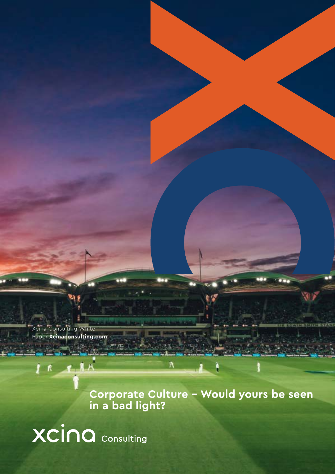Xcina Consulting White Paper **Xcinaconsulting.com**

> **Corporate Culture – Would yours be seen in a bad light?**

XCINQ Consulting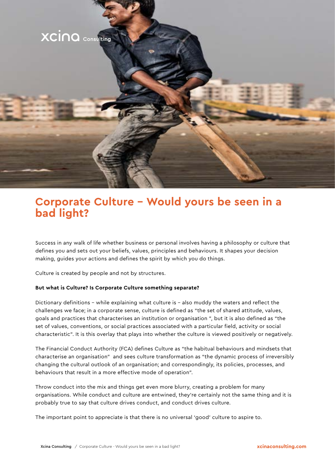

### **Corporate Culture – Would yours be seen in a bad light?**

Success in any walk of life whether business or personal involves having a philosophy or culture that defines you and sets out your beliefs, values, principles and behaviours. It shapes your decision making, guides your actions and defines the spirit by which you do things.

Culture is created by people and not by structures.

#### **But what is Culture? Is Corporate Culture something separate?**

Dictionary definitions - while explaining what culture is - also muddy the waters and reflect the challenges we face; in a corporate sense, culture is defined as "the set of shared attitude, values, goals and practices that characterises an institution or organisation ", but it is also defined as "the set of values, conventions, or social practices associated with a particular field, activity or social characteristic". It is this overlay that plays into whether the culture is viewed positively or negatively.

The Financial Conduct Authority (FCA) defines Culture as "the habitual behaviours and mindsets that characterise an organisation" and sees culture transformation as "the dynamic process of irreversibly changing the cultural outlook of an organisation; and correspondingly, its policies, processes, and behaviours that result in a more effective mode of operation".

Throw conduct into the mix and things get even more blurry, creating a problem for many organisations. While conduct and culture are entwined, they're certainly not the same thing and it is probably true to say that culture drives conduct, and conduct drives culture.

The important point to appreciate is that there is no universal 'good' culture to aspire to.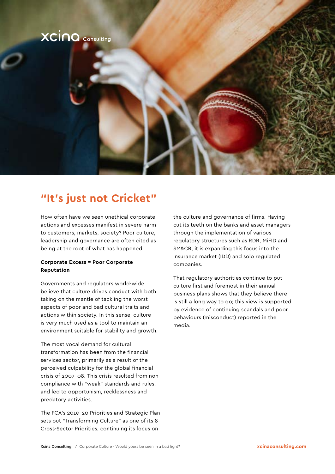

### **"It's just not Cricket"**

How often have we seen unethical corporate actions and excesses manifest in severe harm to customers, markets, society? Poor culture, leadership and governance are often cited as being at the root of what has happened.

### **Corporate Excess = Poor Corporate Reputation**

Governments and regulators world-wide believe that culture drives conduct with both taking on the mantle of tackling the worst aspects of poor and bad cultural traits and actions within society. In this sense, culture is very much used as a tool to maintain an environment suitable for stability and growth.

The most vocal demand for cultural transformation has been from the financial services sector, primarily as a result of the perceived culpability for the global financial crisis of 2007-08. This crisis resulted from noncompliance with "weak" standards and rules, and led to opportunism, recklessness and predatory activities.

The FCA's 2019-20 Priorities and Strategic Plan sets out "Transforming Culture" as one of its 8 Cross-Sector Priorities, continuing its focus on

the culture and governance of firms. Having cut its teeth on the banks and asset managers through the implementation of various regulatory structures such as RDR, MiFID and SM&CR, it is expanding this focus into the Insurance market (IDD) and solo regulated companies.

That regulatory authorities continue to put culture first and foremost in their annual business plans shows that they believe there is still a long way to go; this view is supported by evidence of continuing scandals and poor behaviours (misconduct) reported in the media.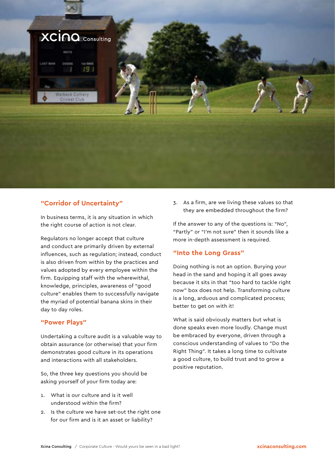

### **"Corridor of Uncertainty"**

In business terms, it is any situation in which the right course of action is not clear.

Regulators no longer accept that culture and conduct are primarily driven by external influences, such as regulation; instead, conduct is also driven from within by the practices and values adopted by every employee within the firm. Equipping staff with the wherewithal, knowledge, principles, awareness of "good culture" enables them to successfully navigate the myriad of potential banana skins in their day to day roles.

### **"Power Plays"**

Undertaking a culture audit is a valuable way to obtain assurance (or otherwise) that your firm demonstrates good culture in its operations and interactions with all stakeholders.

So, the three key questions you should be asking yourself of your firm today are:

- 1. What is our culture and is it well understood within the firm?
- 2. Is the culture we have set-out the right one for our firm and is it an asset or liability?

3. As a firm, are we living these values so that they are embedded throughout the firm?

If the answer to any of the questions is: "No", "Partly" or "I'm not sure" then it sounds like a more in-depth assessment is required.

### **"Into the Long Grass"**

Doing nothing is not an option. Burying your head in the sand and hoping it all goes away because it sits in that "too hard to tackle right now" box does not help. Transforming culture is a long, arduous and complicated process; better to get on with it!

What is said obviously matters but what is done speaks even more loudly. Change must be embraced by everyone, driven through a conscious understanding of values to "Do the Right Thing". It takes a long time to cultivate a good culture, to build trust and to grow a positive reputation.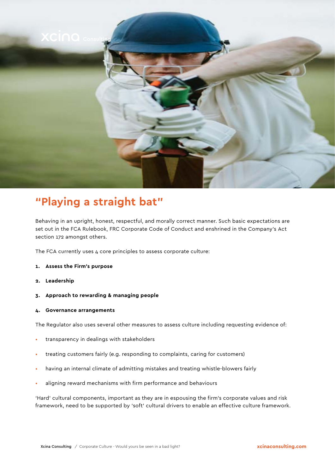

### **"Playing a straight bat"**

Behaving in an upright, honest, respectful, and morally correct manner. Such basic expectations are set out in the FCA Rulebook, FRC Corporate Code of Conduct and enshrined in the Company's Act section 172 amongst others.

The FCA currently uses 4 core principles to assess corporate culture:

- **1. Assess the Firm's purpose**
- **2. Leadership**
- **3. Approach to rewarding & managing people**
- **4. Governance arrangements**

The Regulator also uses several other measures to assess culture including requesting evidence of:

- transparency in dealings with stakeholders
- treating customers fairly (e.g. responding to complaints, caring for customers)
- having an internal climate of admitting mistakes and treating whistle-blowers fairly
- aligning reward mechanisms with firm performance and behaviours

'Hard' cultural components, important as they are in espousing the firm's corporate values and risk framework, need to be supported by 'soft' cultural drivers to enable an effective culture framework.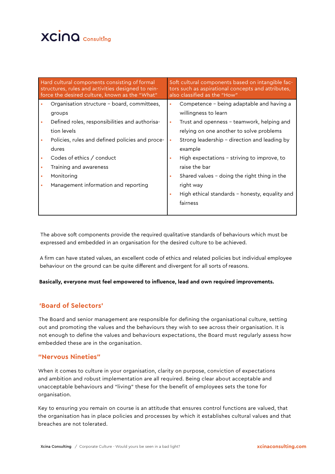## **XCINQ** Consulting

| Hard cultural components consisting of formal<br>structures, rules and activities designed to rein-<br>force the desired culture, known as the "What" |                                                                                                                                                                                          | Soft cultural components based on intangible fac-<br>tors such as aspirational concepts and attributes,<br>also classified as the "How" |                                                                                                                                                                                                                                                                                                                                                                                                                     |
|-------------------------------------------------------------------------------------------------------------------------------------------------------|------------------------------------------------------------------------------------------------------------------------------------------------------------------------------------------|-----------------------------------------------------------------------------------------------------------------------------------------|---------------------------------------------------------------------------------------------------------------------------------------------------------------------------------------------------------------------------------------------------------------------------------------------------------------------------------------------------------------------------------------------------------------------|
| groups<br>tion levels<br>dures<br>Codes of ethics / conduct<br>Training and awareness<br>Monitoring                                                   | Organisation structure - board, committees,<br>Defined roles, responsibilities and authorisa-<br>Policies, rules and defined policies and proce-<br>Management information and reporting | $\bullet$<br>$\bullet$<br>$\bullet$<br>$\bullet$<br>٠                                                                                   | Competence – being adaptable and having a<br>willingness to learn<br>Trust and openness - teamwork, helping and<br>relying on one another to solve problems<br>Strong leadership - direction and leading by<br>example<br>High expectations - striving to improve, to<br>raise the bar<br>Shared values $-$ doing the right thing in the<br>right way<br>High ethical standards - honesty, equality and<br>fairness |
|                                                                                                                                                       |                                                                                                                                                                                          |                                                                                                                                         |                                                                                                                                                                                                                                                                                                                                                                                                                     |

The above soft components provide the required qualitative standards of behaviours which must be expressed and embedded in an organisation for the desired culture to be achieved.

A firm can have stated values, an excellent code of ethics and related policies but individual employee behaviour on the ground can be quite different and divergent for all sorts of reasons.

#### **Basically, everyone must feel empowered to influence, lead and own required improvements.**

### **'Board of Selectors'**

The Board and senior management are responsible for defining the organisational culture, setting out and promoting the values and the behaviours they wish to see across their organisation. It is not enough to define the values and behaviours expectations, the Board must regularly assess how embedded these are in the organisation.

#### **"Nervous Nineties"**

When it comes to culture in your organisation, clarity on purpose, conviction of expectations and ambition and robust implementation are all required. Being clear about acceptable and unacceptable behaviours and "living" these for the benefit of employees sets the tone for organisation.

Key to ensuring you remain on course is an attitude that ensures control functions are valued, that the organisation has in place policies and processes by which it establishes cultural values and that breaches are not tolerated.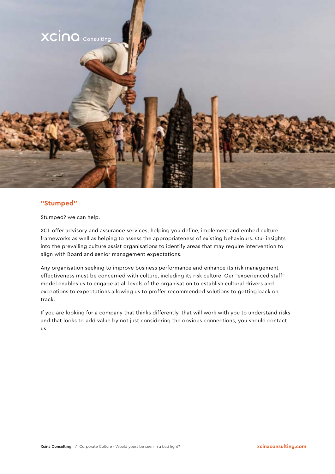

### **"Stumped"**

Stumped? we can help.

XCL offer advisory and assurance services, helping you define, implement and embed culture frameworks as well as helping to assess the appropriateness of existing behaviours. Our insights into the prevailing culture assist organisations to identify areas that may require intervention to align with Board and senior management expectations.

Any organisation seeking to improve business performance and enhance its risk management effectiveness must be concerned with culture, including its risk culture. Our "experienced staff" model enables us to engage at all levels of the organisation to establish cultural drivers and exceptions to expectations allowing us to proffer recommended solutions to getting back on track.

If you are looking for a company that thinks differently, that will work with you to understand risks and that looks to add value by not just considering the obvious connections, you should contact us.